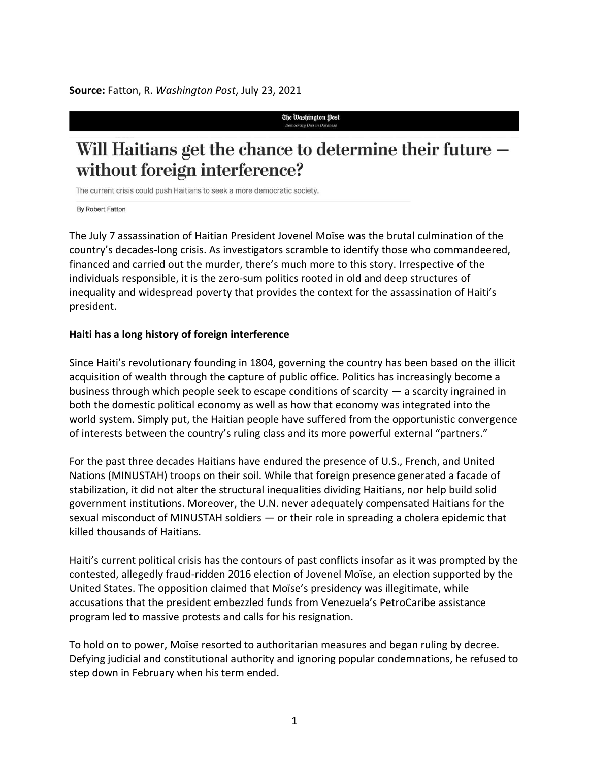**Source:** Fatton, R. *Washington Post*, July 23, 2021

The Washington Post

## Will Haitians get the chance to determine their future without foreign interference?

The current crisis could push Haitians to seek a more democratic society.

**By Robert Fatton** 

The July 7 assassination of Haitian President Jovenel Moïse was the brutal culmination of the country's decades-long crisis. As investigators scramble to identify those who commandeered, financed and carried out the murder, there's much more to this story. Irrespective of the individuals responsible, it is the zero-sum politics rooted in old and deep structures of inequality and widespread poverty that provides the context for the assassination of Haiti's president.

## **Haiti has a long history of foreign interference**

Since Haiti's revolutionary founding in 1804, governing the country has been based on the illicit acquisition of wealth through the capture of public office. Politics has increasingly become a business through which people seek to escape conditions of scarcity  $-$  a scarcity ingrained in both the domestic political economy as well as how that economy was integrated into the world system. Simply put, the Haitian people have suffered from the opportunistic convergence of interests between the country's ruling class and its more powerful external "partners."

For the past three decades Haitians have endured the presence of U.S., French, and United Nations (MINUSTAH) troops on their soil. While that foreign presence generated a facade of stabilization, it did not alter the structural inequalities dividing Haitians, nor help build solid government institutions. Moreover, the U.N. never adequately compensated Haitians for the sexual misconduct of MINUSTAH soldiers — or their role in spreading a cholera epidemic that killed thousands of Haitians.

Haiti's current political crisis has the contours of past conflicts insofar as it was prompted by the contested, allegedly fraud-ridden 2016 election of Jovenel Moïse, an election supported by the United States. The opposition claimed that Moïse's presidency was illegitimate, while accusations that the president embezzled funds from Venezuela's PetroCaribe assistance program led to massive protests and calls for his resignation.

To hold on to power, Moïse resorted to authoritarian measures and began ruling by decree. Defying judicial and constitutional authority and ignoring popular condemnations, he refused to step down in February when his term ended.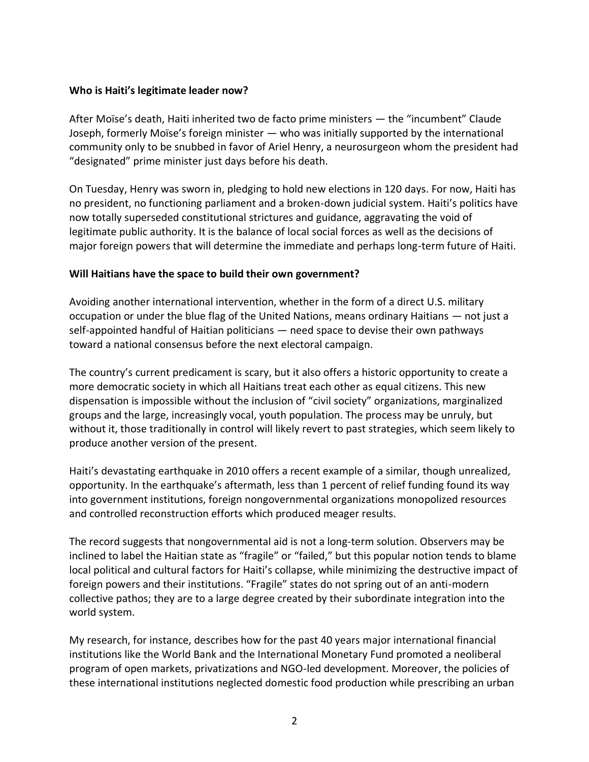## **Who is Haiti's legitimate leader now?**

After Moïse's death, Haiti inherited two de facto prime ministers — the "incumbent" Claude Joseph, formerly Moïse's foreign minister — who was initially supported by the international community only to be snubbed in favor of Ariel Henry, a neurosurgeon whom the president had "designated" prime minister just days before his death.

On Tuesday, Henry was sworn in, pledging to hold new elections in 120 days. For now, Haiti has no president, no functioning parliament and a broken-down judicial system. Haiti's politics have now totally superseded constitutional strictures and guidance, aggravating the void of legitimate public authority. It is the balance of local social forces as well as the decisions of major foreign powers that will determine the immediate and perhaps long-term future of Haiti.

## **Will Haitians have the space to build their own government?**

Avoiding another international intervention, whether in the form of a direct U.S. military occupation or under the blue flag of the United Nations, means ordinary Haitians — not just a self-appointed handful of Haitian politicians — need space to devise their own pathways toward a national consensus before the next electoral campaign.

The country's current predicament is scary, but it also offers a historic opportunity to create a more democratic society in which all Haitians treat each other as equal citizens. This new dispensation is impossible without the inclusion of "civil society" organizations, marginalized groups and the large, increasingly vocal, youth population. The process may be unruly, but without it, those traditionally in control will likely revert to past strategies, which seem likely to produce another version of the present.

Haiti's devastating earthquake in 2010 offers a recent example of a similar, though unrealized, opportunity. In the earthquake's aftermath, less than 1 percent of relief funding found its way into government institutions, foreign nongovernmental organizations monopolized resources and controlled reconstruction efforts which produced meager results.

The record suggests that nongovernmental aid is not a long-term solution. Observers may be inclined to label the Haitian state as "fragile" or "failed," but this popular notion tends to blame local political and cultural factors for Haiti's collapse, while minimizing the destructive impact of foreign powers and their institutions. "Fragile" states do not spring out of an anti-modern collective pathos; they are to a large degree created by their subordinate integration into the world system.

My research, for instance, describes how for the past 40 years major international financial institutions like the World Bank and the International Monetary Fund promoted a neoliberal program of open markets, privatizations and NGO-led development. Moreover, the policies of these international institutions neglected domestic food production while prescribing an urban